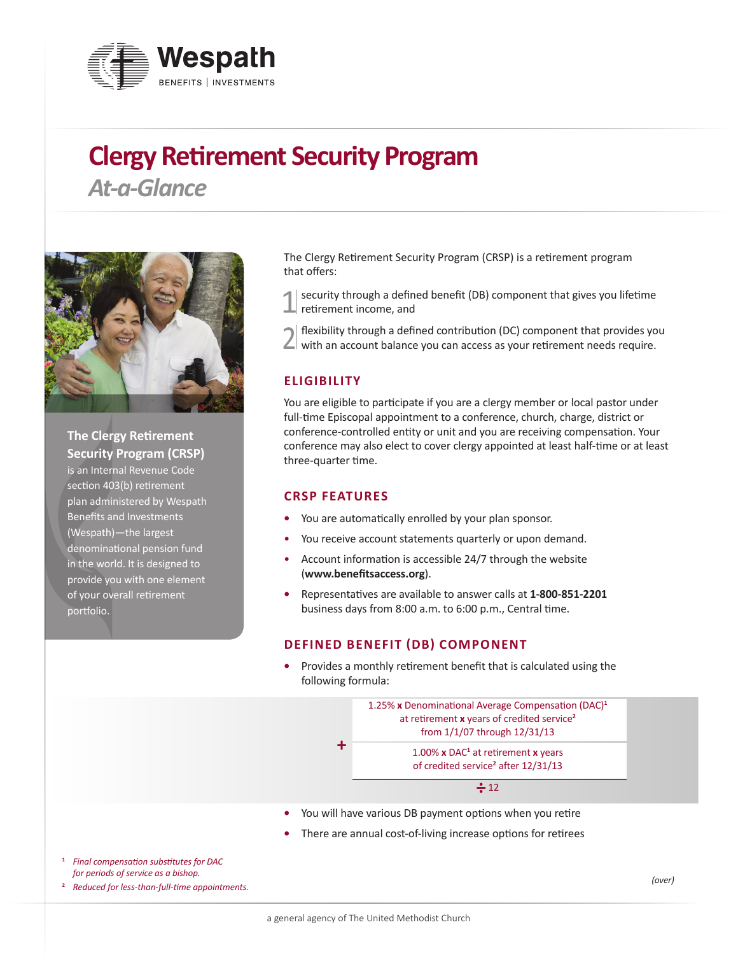

# **Clergy Retirement Security Program**

*At-a-Glance*



**The Clergy Retirement Security Program (CRSP)**  is an Internal Revenue Code section 403(b) retirement plan administered by Wespath Benefits and Investments (Wespath)—the largest denominational pension fund in the world. It is designed to provide you with one element of your overall retirement portfolio.

The Clergy Retirement Security Program (CRSP) is a retirement program that offers:

security through a defined benefit (DB) component that gives you lifetime retirement income, and

2 flexibility through a defined contribution (DC) component that provides you with an account balance you can access as your retirement needs require.

## **ELIGIBILITY**

You are eligible to participate if you are a clergy member or local pastor under full-time Episcopal appointment to a conference, church, charge, district or conference-controlled entity or unit and you are receiving compensation. Your conference may also elect to cover clergy appointed at least half-time or at least three-quarter time.

#### **CRSP FEATURES**

- **•** You are automatically enrolled by your plan sponsor.
- You receive account statements quarterly or upon demand.
- Account information is accessible 24/7 through the website (**[www.benefitsaccess.org](http://www.benefitsaccess.org)**).
- **•** Representatives are available to answer calls at **1-800-851-2201** business days from 8:00 a.m. to 6:00 p.m., Central time.

#### **DEFINED BENEFIT (DB) COMPONENT**

**•** Provides a monthly retirement benefit that is calculated using the following formula:



- **•** You will have various DB payment options when you retire
- **•** There are annual cost-of-living increase options for retirees
- **<sup>1</sup>** *Final compensation substitutes for DAC for periods of service as a bishop.*

**<sup>2</sup>** *Reduced for less-than-full-time appointments.*